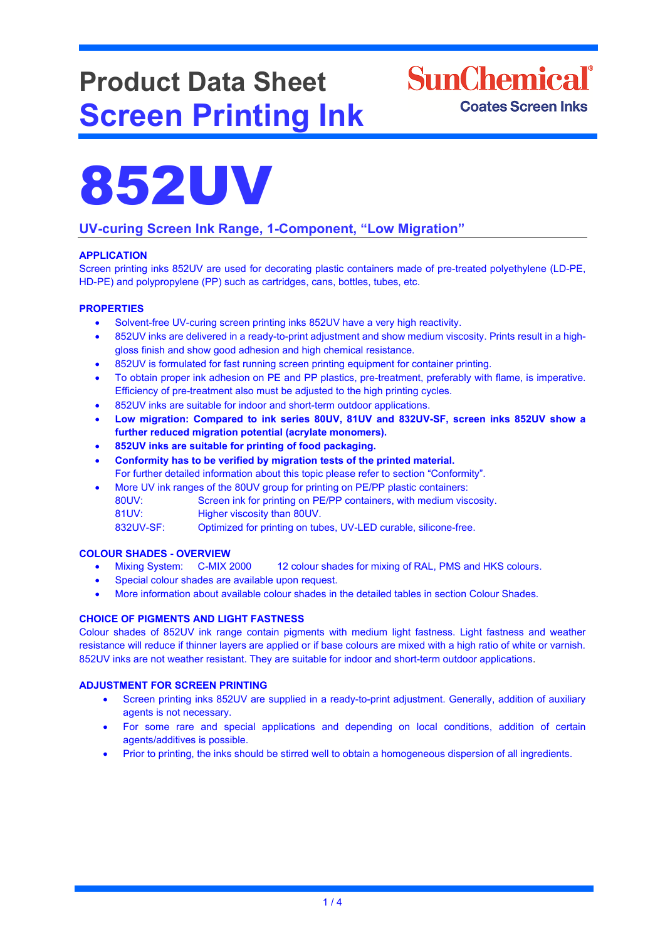# **Product Data Sheet Screen Printing Ink**

## **SunChemical**<sup>®</sup> **Coates Screen Inks**



### **UV-curing Screen Ink Range, 1-Component, "Low Migration"**

### **APPLICATION**

Screen printing inks 852UV are used for decorating plastic containers made of pre-treated polyethylene (LD-PE, HD-PE) and polypropylene (PP) such as cartridges, cans, bottles, tubes, etc.

#### **PROPERTIES**

- Solvent-free UV-curing screen printing inks 852UV have a very high reactivity.
- 852UV inks are delivered in a ready-to-print adjustment and show medium viscosity. Prints result in a highgloss finish and show good adhesion and high chemical resistance.
- 852UV is formulated for fast running screen printing equipment for container printing.
- To obtain proper ink adhesion on PE and PP plastics, pre-treatment, preferably with flame, is imperative. Efficiency of pre-treatment also must be adjusted to the high printing cycles.
- 852UV inks are suitable for indoor and short-term outdoor applications.
- **Low migration: Compared to ink series 80UV, 81UV and 832UV-SF, screen inks 852UV show a further reduced migration potential (acrylate monomers).**
- **852UV inks are suitable for printing of food packaging.**
- **Conformity has to be verified by migration tests of the printed material.** For further detailed information about this topic please refer to section "Conformity".
- More UV ink ranges of the 80UV group for printing on PE/PP plastic containers:
- 80UV: Screen ink for printing on PE/PP containers, with medium viscosity. 81UV: Higher viscosity than 80UV.

832UV-SF: Optimized for printing on tubes, UV-LED curable, silicone-free.

## **COLOUR SHADES - OVERVIEW**

- 12 colour shades for mixing of RAL, PMS and HKS colours.
- Special colour shades are available upon request.
- More information about available colour shades in the detailed tables in section Colour Shades.

#### **CHOICE OF PIGMENTS AND LIGHT FASTNESS**

Colour shades of 852UV ink range contain pigments with medium light fastness. Light fastness and weather resistance will reduce if thinner layers are applied or if base colours are mixed with a high ratio of white or varnish. 852UV inks are not weather resistant. They are suitable for indoor and short-term outdoor applications.

#### **ADJUSTMENT FOR SCREEN PRINTING**

- Screen printing inks 852UV are supplied in a ready-to-print adjustment. Generally, addition of auxiliary agents is not necessary.
- For some rare and special applications and depending on local conditions, addition of certain agents/additives is possible.
- Prior to printing, the inks should be stirred well to obtain a homogeneous dispersion of all ingredients.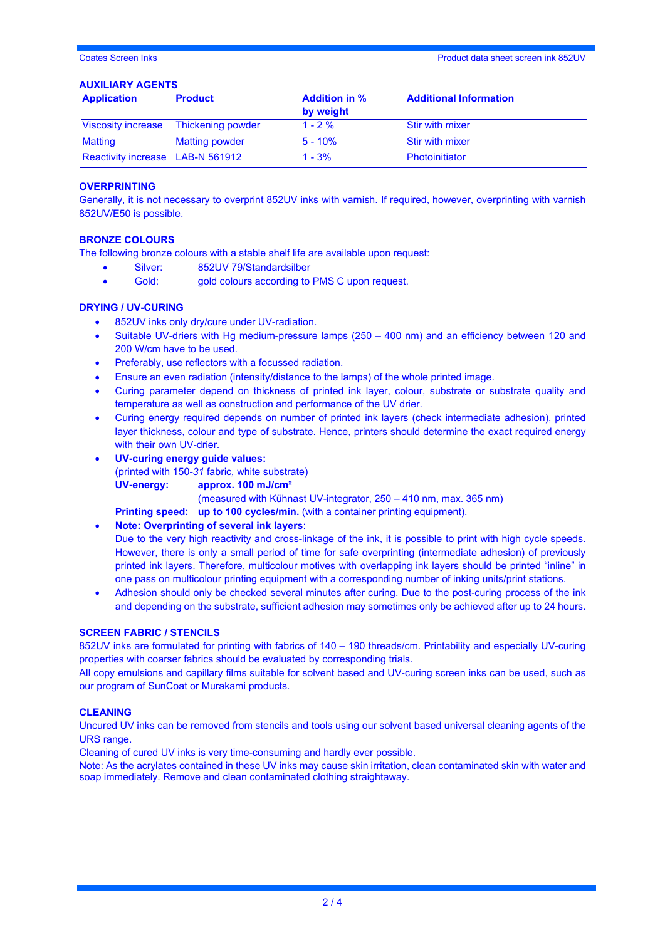#### **AUXILIARY AGENTS**

| <b>Application</b>               | <b>Product</b>        | <b>Addition in %</b><br>by weight | <b>Additional Information</b> |
|----------------------------------|-----------------------|-----------------------------------|-------------------------------|
| <b>Viscosity increase</b>        | Thickening powder     | $1 - 2 \%$                        | <b>Stir with mixer</b>        |
| Matting                          | <b>Matting powder</b> | $5 - 10%$                         | <b>Stir with mixer</b>        |
| Reactivity increase LAB-N 561912 |                       | $1 - 3%$                          | Photoinitiator                |

#### **OVERPRINTING**

Generally, it is not necessary to overprint 852UV inks with varnish. If required, however, overprinting with varnish 852UV/E50 is possible.

#### **BRONZE COLOURS**

The following bronze colours with a stable shelf life are available upon request:

- Silver: 852UV 79/Standardsilber
- Gold: gold colours according to PMS C upon request.

#### **DRYING / UV-CURING**

- 852UV inks only dry/cure under UV-radiation.
- Suitable UV-driers with Hg medium-pressure lamps (250 400 nm) and an efficiency between 120 and 200 W/cm have to be used.
- Preferably, use reflectors with a focussed radiation.
- Ensure an even radiation (intensity/distance to the lamps) of the whole printed image.
- Curing parameter depend on thickness of printed ink layer, colour, substrate or substrate quality and temperature as well as construction and performance of the UV drier.
- Curing energy required depends on number of printed ink layers (check intermediate adhesion), printed layer thickness, colour and type of substrate. Hence, printers should determine the exact required energy with their own UV-drier.
- **UV-curing energy guide values:**  (printed with 150-*31* fabric*,* white substrate) **UV-energy: approx. 100 mJ/cm²**

(measured with Kühnast UV-integrator, 250 – 410 nm, max. 365 nm)

**Printing speed: up to 100 cycles/min.** (with a container printing equipment).

#### • **Note: Overprinting of several ink layers**:

Due to the very high reactivity and cross-linkage of the ink, it is possible to print with high cycle speeds. However, there is only a small period of time for safe overprinting (intermediate adhesion) of previously printed ink layers. Therefore, multicolour motives with overlapping ink layers should be printed "inline" in one pass on multicolour printing equipment with a corresponding number of inking units/print stations.

• Adhesion should only be checked several minutes after curing. Due to the post-curing process of the ink and depending on the substrate, sufficient adhesion may sometimes only be achieved after up to 24 hours.

#### **SCREEN FABRIC / STENCILS**

852UV inks are formulated for printing with fabrics of 140 – 190 threads/cm. Printability and especially UV-curing properties with coarser fabrics should be evaluated by corresponding trials.

All copy emulsions and capillary films suitable for solvent based and UV-curing screen inks can be used, such as our program of SunCoat or Murakami products.

#### **CLEANING**

Uncured UV inks can be removed from stencils and tools using our solvent based universal cleaning agents of the URS range.

Cleaning of cured UV inks is very time-consuming and hardly ever possible.

Note: As the acrylates contained in these UV inks may cause skin irritation, clean contaminated skin with water and soap immediately. Remove and clean contaminated clothing straightaway.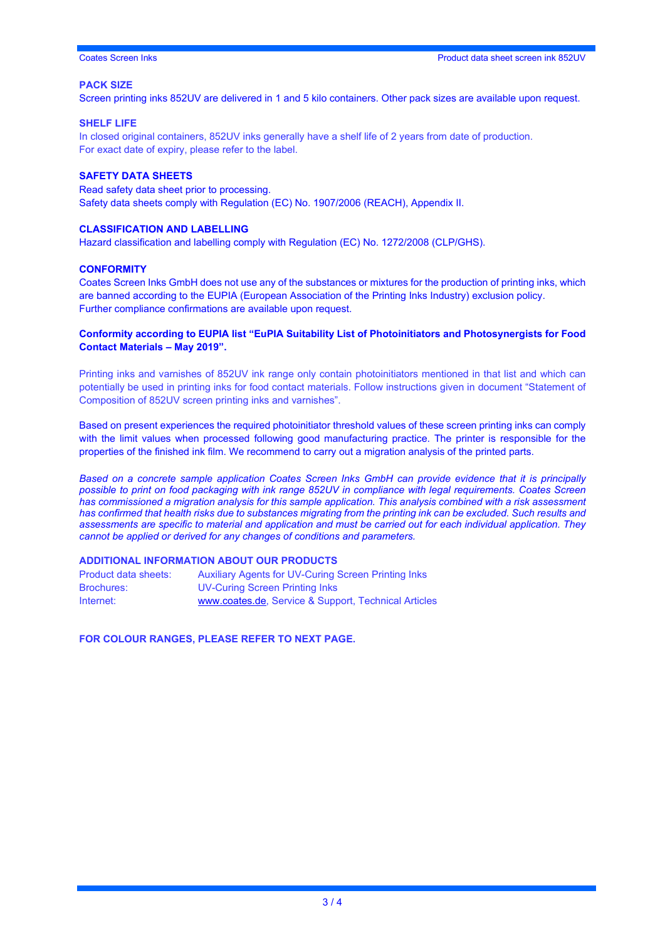Coates Screen Inks Product data sheet screen ink 852UV

#### **PACK SIZE**

Screen printing inks 852UV are delivered in 1 and 5 kilo containers. Other pack sizes are available upon request.

#### **SHELF LIFE**

In closed original containers, 852UV inks generally have a shelf life of 2 years from date of production. For exact date of expiry, please refer to the label.

#### **SAFETY DATA SHEETS**

Read safety data sheet prior to processing. Safety data sheets comply with Regulation (EC) No. 1907/2006 (REACH), Appendix II.

#### **CLASSIFICATION AND LABELLING**

Hazard classification and labelling comply with Regulation (EC) No. 1272/2008 (CLP/GHS).

#### **CONFORMITY**

Coates Screen Inks GmbH does not use any of the substances or mixtures for the production of printing inks, which are banned according to the EUPIA (European Association of the Printing Inks Industry) exclusion policy. Further compliance confirmations are available upon request.

#### **Conformity according to EUPIA list "EuPIA Suitability List of Photoinitiators and Photosynergists for Food Contact Materials – May 2019".**

Printing inks and varnishes of 852UV ink range only contain photoinitiators mentioned in that list and which can potentially be used in printing inks for food contact materials. Follow instructions given in document "Statement of Composition of 852UV screen printing inks and varnishes".

Based on present experiences the required photoinitiator threshold values of these screen printing inks can comply with the limit values when processed following good manufacturing practice. The printer is responsible for the properties of the finished ink film. We recommend to carry out a migration analysis of the printed parts.

*Based on a concrete sample application Coates Screen Inks GmbH can provide evidence that it is principally possible to print on food packaging with ink range 852UV in compliance with legal requirements. Coates Screen has commissioned a migration analysis for this sample application. This analysis combined with a risk assessment has confirmed that health risks due to substances migrating from the printing ink can be excluded. Such results and assessments are specific to material and application and must be carried out for each individual application. They cannot be applied or derived for any changes of conditions and parameters.* 

#### **ADDITIONAL INFORMATION ABOUT OUR PRODUCTS**

| Product data sheets: | Auxiliary Agents for UV-Curing Screen Printing Inks  |
|----------------------|------------------------------------------------------|
| <b>Brochures:</b>    | <b>UV-Curing Screen Printing Inks</b>                |
| Internet:            | www.coates.de, Service & Support, Technical Articles |

**FOR COLOUR RANGES, PLEASE REFER TO NEXT PAGE.**